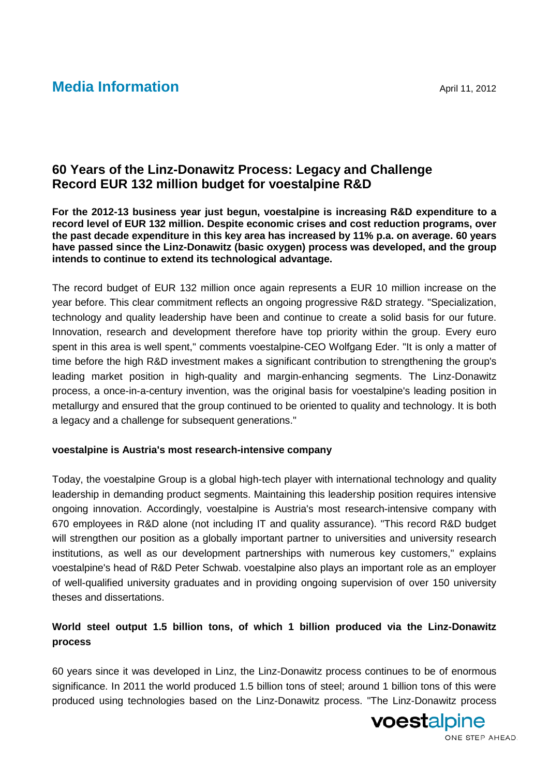# **Media Information** April 11, 2012

## **60 Years of the Linz-Donawitz Process: Legacy and Challenge Record EUR 132 million budget for voestalpine R&D**

**For the 2012-13 business year just begun, voestalpine is increasing R&D expenditure to a record level of EUR 132 million. Despite economic crises and cost reduction programs, over the past decade expenditure in this key area has increased by 11% p.a. on average. 60 years have passed since the Linz-Donawitz (basic oxygen) process was developed, and the group intends to continue to extend its technological advantage.**

The record budget of EUR 132 million once again represents a EUR 10 million increase on the year before. This clear commitment reflects an ongoing progressive R&D strategy. "Specialization, technology and quality leadership have been and continue to create a solid basis for our future. Innovation, research and development therefore have top priority within the group. Every euro spent in this area is well spent," comments voestalpine-CEO Wolfgang Eder. "It is only a matter of time before the high R&D investment makes a significant contribution to strengthening the group's leading market position in high-quality and margin-enhancing segments. The Linz-Donawitz process, a once-in-a-century invention, was the original basis for voestalpine's leading position in metallurgy and ensured that the group continued to be oriented to quality and technology. It is both a legacy and a challenge for subsequent generations."

## **voestalpine is Austria's most research-intensive company**

Today, the voestalpine Group is a global high-tech player with international technology and quality leadership in demanding product segments. Maintaining this leadership position requires intensive ongoing innovation. Accordingly, voestalpine is Austria's most research-intensive company with 670 employees in R&D alone (not including IT and quality assurance). "This record R&D budget will strengthen our position as a globally important partner to universities and university research institutions, as well as our development partnerships with numerous key customers," explains voestalpine's head of R&D Peter Schwab. voestalpine also plays an important role as an employer of well-qualified university graduates and in providing ongoing supervision of over 150 university theses and dissertations.

## **World steel output 1.5 billion tons, of which 1 billion produced via the Linz-Donawitz process**

60 years since it was developed in Linz, the Linz-Donawitz process continues to be of enormous significance. In 2011 the world produced 1.5 billion tons of steel; around 1 billion tons of this were produced using technologies based on the Linz-Donawitz process. "The Linz-Donawitz process

voestalpine